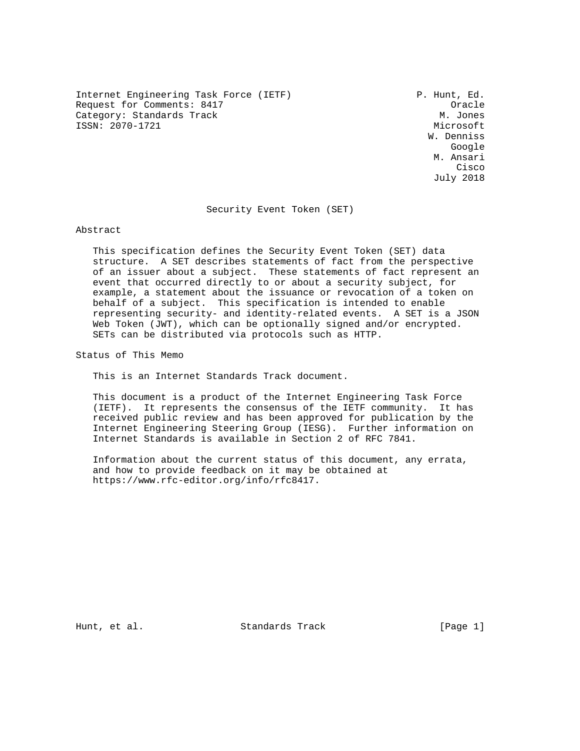Internet Engineering Task Force (IETF) P. Hunt, Ed. Request for Comments: 8417<br>Category: Standards Track Category: M. Jones Category: Standards Track ISSN: 2070-1721 Microsoft

 W. Denniss google is a straightforward of the control of the control of the control of the control of the control of the c M. Ansari **Cisco de la contrata de la contrata de la contrata de la contrata de la contrata de la contrata de la contrat** July 2018

Security Event Token (SET)

Abstract

 This specification defines the Security Event Token (SET) data structure. A SET describes statements of fact from the perspective of an issuer about a subject. These statements of fact represent an event that occurred directly to or about a security subject, for example, a statement about the issuance or revocation of a token on behalf of a subject. This specification is intended to enable representing security- and identity-related events. A SET is a JSON Web Token (JWT), which can be optionally signed and/or encrypted. SETs can be distributed via protocols such as HTTP.

Status of This Memo

This is an Internet Standards Track document.

 This document is a product of the Internet Engineering Task Force (IETF). It represents the consensus of the IETF community. It has received public review and has been approved for publication by the Internet Engineering Steering Group (IESG). Further information on Internet Standards is available in Section 2 of RFC 7841.

 Information about the current status of this document, any errata, and how to provide feedback on it may be obtained at https://www.rfc-editor.org/info/rfc8417.

Hunt, et al. Standards Track [Page 1]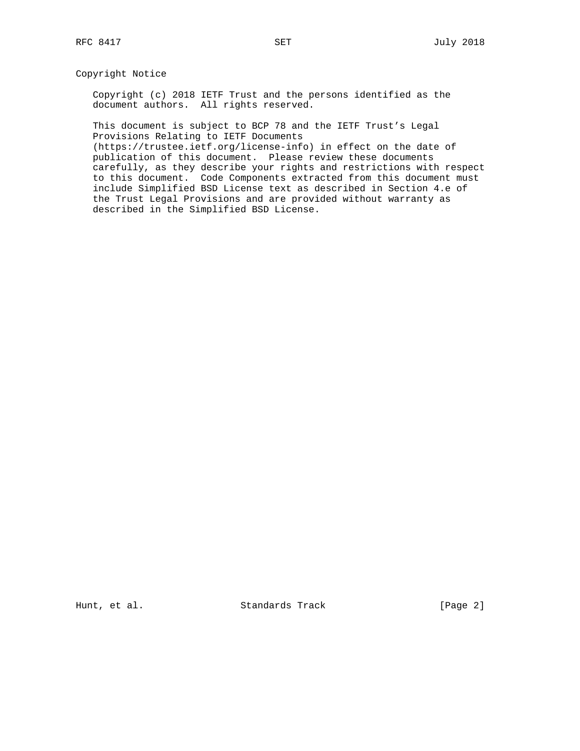# Copyright Notice

 Copyright (c) 2018 IETF Trust and the persons identified as the document authors. All rights reserved.

 This document is subject to BCP 78 and the IETF Trust's Legal Provisions Relating to IETF Documents

 (https://trustee.ietf.org/license-info) in effect on the date of publication of this document. Please review these documents carefully, as they describe your rights and restrictions with respect to this document. Code Components extracted from this document must include Simplified BSD License text as described in Section 4.e of the Trust Legal Provisions and are provided without warranty as described in the Simplified BSD License.

Hunt, et al. Standards Track [Page 2]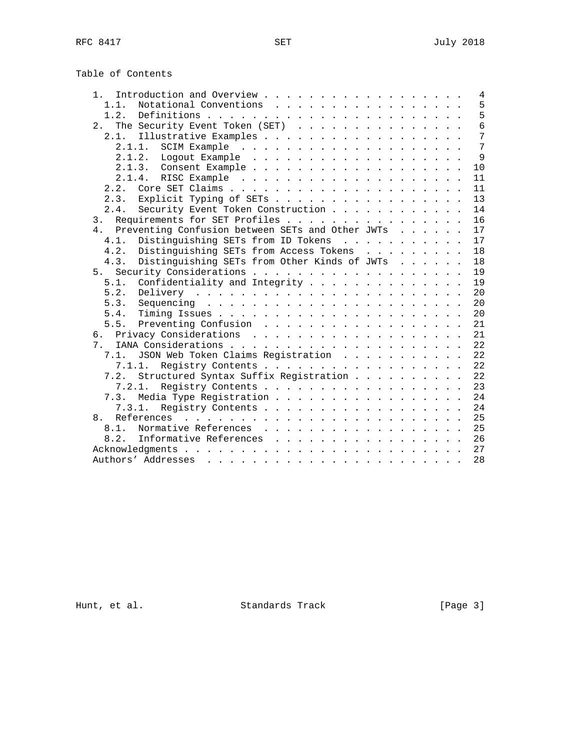Table of Contents

| 1 <sup>1</sup>                                       |  |  | 4    |
|------------------------------------------------------|--|--|------|
| Notational Conventions<br>1.1.                       |  |  | 5    |
| 1.2.                                                 |  |  | 5    |
| The Security Event Token (SET) $\ldots$<br>2.1       |  |  | 6    |
|                                                      |  |  | 7    |
|                                                      |  |  | 7    |
|                                                      |  |  | 9    |
|                                                      |  |  | 10   |
|                                                      |  |  | 11   |
| 2.2.                                                 |  |  | 11   |
| Explicit Typing of SETs<br>2.3.                      |  |  | 13   |
| Security Event Token Construction<br>2.4.            |  |  | 14   |
| Requirements for SET Profiles<br>3.                  |  |  | 16   |
| 4. Preventing Confusion between SETs and Other JWTs  |  |  | 17   |
| Distinguishing SETs from ID Tokens<br>$4.1$ .        |  |  | 17   |
| Distinguishing SETs from Access Tokens<br>4.2.       |  |  | 18   |
| Distinguishing SETs from Other Kinds of JWTs<br>4.3. |  |  | 18   |
| 5.                                                   |  |  | 19   |
| 5.1.<br>Confidentiality and Integrity                |  |  | 19   |
| 5.2.                                                 |  |  | 20   |
| 5.3.                                                 |  |  | 20   |
| 5.4.                                                 |  |  | 20   |
| 5.5. Preventing Confusion                            |  |  | 21   |
|                                                      |  |  | 21   |
| 7.                                                   |  |  | 22   |
| JSON Web Token Claims Registration<br>7.1.           |  |  | 22   |
| Registry Contents<br>7.1.1.                          |  |  | 22   |
| Structured Syntax Suffix Registration<br>7.2.        |  |  | 2.2. |
| 7.2.1.<br>Registry Contents                          |  |  | 23   |
| 7.3. Media Type Registration                         |  |  | 24   |
| Registry Contents<br>7.3.1.                          |  |  | 2.4  |
| 8 <sub>1</sub>                                       |  |  | 2.5  |
| 8.1. Normative References                            |  |  | 25   |
| 8.2. Informative References                          |  |  | 26   |
|                                                      |  |  | 27   |
|                                                      |  |  | 28   |
|                                                      |  |  |      |

Hunt, et al. Standards Track [Page 3]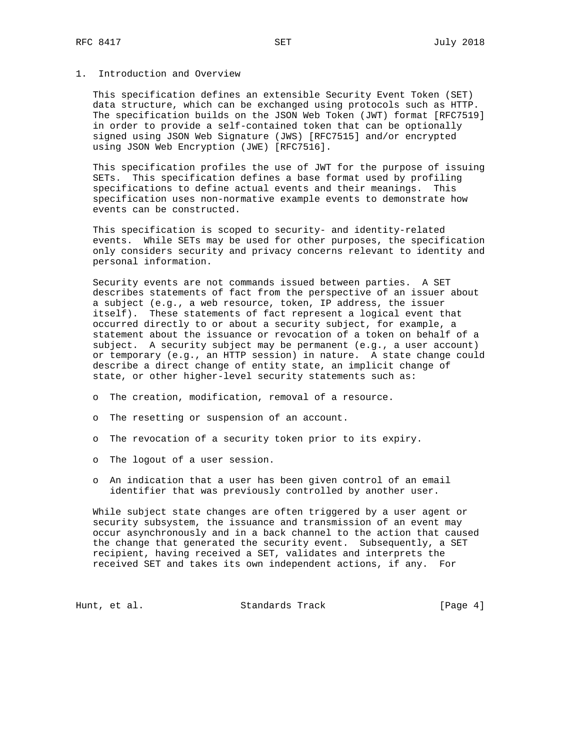# 1. Introduction and Overview

 This specification defines an extensible Security Event Token (SET) data structure, which can be exchanged using protocols such as HTTP. The specification builds on the JSON Web Token (JWT) format [RFC7519] in order to provide a self-contained token that can be optionally signed using JSON Web Signature (JWS) [RFC7515] and/or encrypted using JSON Web Encryption (JWE) [RFC7516].

 This specification profiles the use of JWT for the purpose of issuing SETs. This specification defines a base format used by profiling specifications to define actual events and their meanings. This specification uses non-normative example events to demonstrate how events can be constructed.

 This specification is scoped to security- and identity-related events. While SETs may be used for other purposes, the specification only considers security and privacy concerns relevant to identity and personal information.

 Security events are not commands issued between parties. A SET describes statements of fact from the perspective of an issuer about a subject (e.g., a web resource, token, IP address, the issuer itself). These statements of fact represent a logical event that occurred directly to or about a security subject, for example, a statement about the issuance or revocation of a token on behalf of a subject. A security subject may be permanent (e.g., a user account) or temporary (e.g., an HTTP session) in nature. A state change could describe a direct change of entity state, an implicit change of state, or other higher-level security statements such as:

- o The creation, modification, removal of a resource.
- o The resetting or suspension of an account.
- o The revocation of a security token prior to its expiry.
- o The logout of a user session.
- o An indication that a user has been given control of an email identifier that was previously controlled by another user.

 While subject state changes are often triggered by a user agent or security subsystem, the issuance and transmission of an event may occur asynchronously and in a back channel to the action that caused the change that generated the security event. Subsequently, a SET recipient, having received a SET, validates and interprets the received SET and takes its own independent actions, if any. For

Hunt, et al. Standards Track [Page 4]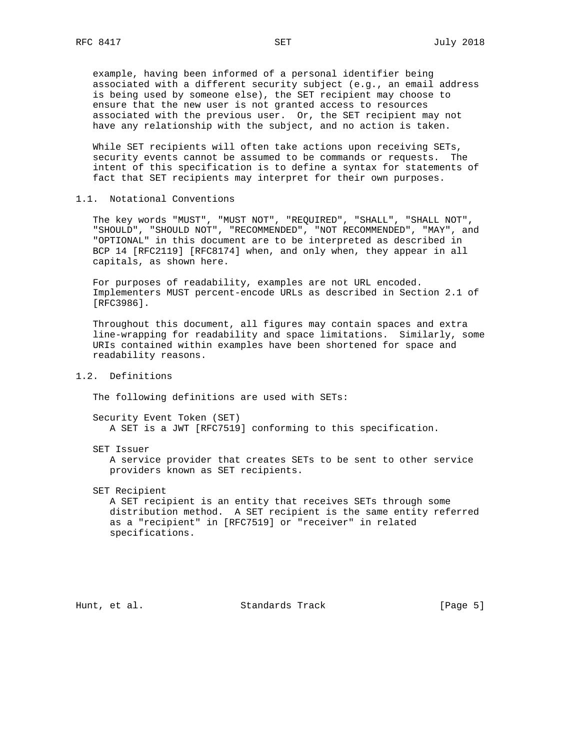example, having been informed of a personal identifier being associated with a different security subject (e.g., an email address is being used by someone else), the SET recipient may choose to ensure that the new user is not granted access to resources associated with the previous user. Or, the SET recipient may not have any relationship with the subject, and no action is taken.

 While SET recipients will often take actions upon receiving SETs, security events cannot be assumed to be commands or requests. The intent of this specification is to define a syntax for statements of fact that SET recipients may interpret for their own purposes.

# 1.1. Notational Conventions

 The key words "MUST", "MUST NOT", "REQUIRED", "SHALL", "SHALL NOT", "SHOULD", "SHOULD NOT", "RECOMMENDED", "NOT RECOMMENDED", "MAY", and "OPTIONAL" in this document are to be interpreted as described in BCP 14 [RFC2119] [RFC8174] when, and only when, they appear in all capitals, as shown here.

 For purposes of readability, examples are not URL encoded. Implementers MUST percent-encode URLs as described in Section 2.1 of [RFC3986].

 Throughout this document, all figures may contain spaces and extra line-wrapping for readability and space limitations. Similarly, some URIs contained within examples have been shortened for space and readability reasons.

1.2. Definitions

The following definitions are used with SETs:

 Security Event Token (SET) A SET is a JWT [RFC7519] conforming to this specification.

SET Issuer

 A service provider that creates SETs to be sent to other service providers known as SET recipients.

SET Recipient

 A SET recipient is an entity that receives SETs through some distribution method. A SET recipient is the same entity referred as a "recipient" in [RFC7519] or "receiver" in related specifications.

Hunt, et al. Standards Track [Page 5]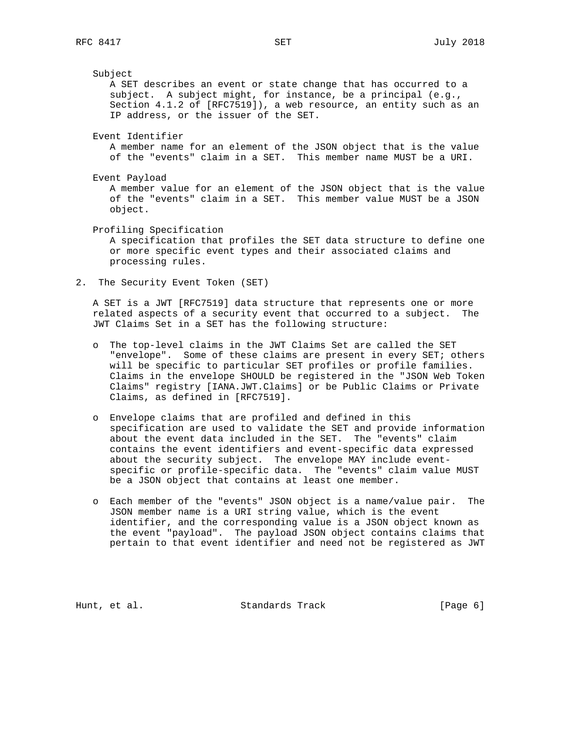Subject A SET describes an event or state change that has occurred to a subject. A subject might, for instance, be a principal (e.g., Section 4.1.2 of [RFC7519]), a web resource, an entity such as an IP address, or the issuer of the SET. Event Identifier A member name for an element of the JSON object that is the value of the "events" claim in a SET. This member name MUST be a URI. Event Payload A member value for an element of the JSON object that is the value of the "events" claim in a SET. This member value MUST be a JSON object. Profiling Specification A specification that profiles the SET data structure to define one or more specific event types and their associated claims and processing rules.

2. The Security Event Token (SET)

 A SET is a JWT [RFC7519] data structure that represents one or more related aspects of a security event that occurred to a subject. The JWT Claims Set in a SET has the following structure:

- o The top-level claims in the JWT Claims Set are called the SET "envelope". Some of these claims are present in every SET; others will be specific to particular SET profiles or profile families. Claims in the envelope SHOULD be registered in the "JSON Web Token Claims" registry [IANA.JWT.Claims] or be Public Claims or Private Claims, as defined in [RFC7519].
- o Envelope claims that are profiled and defined in this specification are used to validate the SET and provide information about the event data included in the SET. The "events" claim contains the event identifiers and event-specific data expressed about the security subject. The envelope MAY include event specific or profile-specific data. The "events" claim value MUST be a JSON object that contains at least one member.
- o Each member of the "events" JSON object is a name/value pair. The JSON member name is a URI string value, which is the event identifier, and the corresponding value is a JSON object known as the event "payload". The payload JSON object contains claims that pertain to that event identifier and need not be registered as JWT

Hunt, et al. Standards Track [Page 6]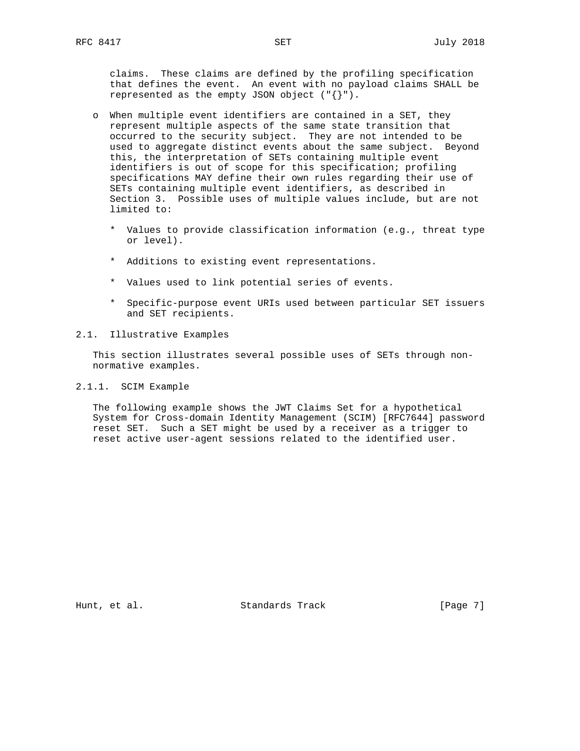claims. These claims are defined by the profiling specification that defines the event. An event with no payload claims SHALL be represented as the empty JSON object ("{}").

- o When multiple event identifiers are contained in a SET, they represent multiple aspects of the same state transition that occurred to the security subject. They are not intended to be used to aggregate distinct events about the same subject. Beyond this, the interpretation of SETs containing multiple event identifiers is out of scope for this specification; profiling specifications MAY define their own rules regarding their use of SETs containing multiple event identifiers, as described in Section 3. Possible uses of multiple values include, but are not limited to:
	- \* Values to provide classification information (e.g., threat type or level).
	- \* Additions to existing event representations.
	- \* Values used to link potential series of events.
	- \* Specific-purpose event URIs used between particular SET issuers and SET recipients.
- 2.1. Illustrative Examples

 This section illustrates several possible uses of SETs through non normative examples.

2.1.1. SCIM Example

 The following example shows the JWT Claims Set for a hypothetical System for Cross-domain Identity Management (SCIM) [RFC7644] password reset SET. Such a SET might be used by a receiver as a trigger to reset active user-agent sessions related to the identified user.

Hunt, et al. Standards Track [Page 7]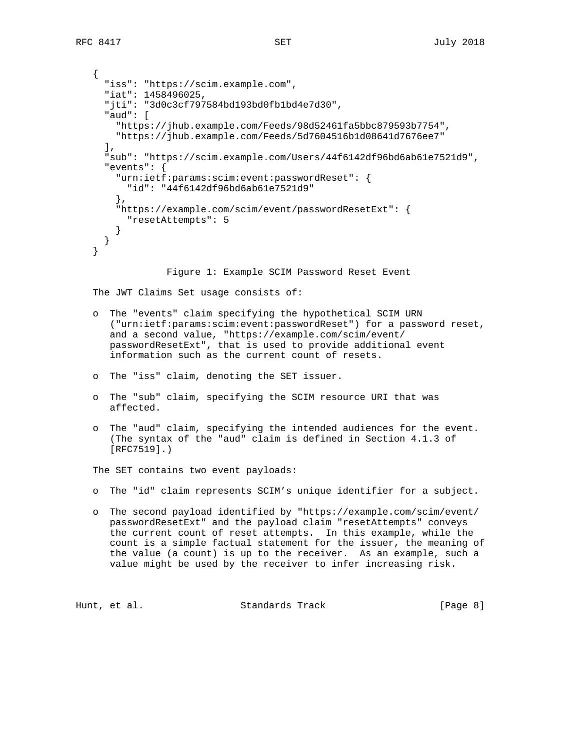```
 {
  "iss": "https://scim.example.com",
  "iat": 1458496025,
  "jti": "3d0c3cf797584bd193bd0fb1bd4e7d30",
  "aud": [
    "https://jhub.example.com/Feeds/98d52461fa5bbc879593b7754",
    "https://jhub.example.com/Feeds/5d7604516b1d08641d7676ee7"
 \,,
  "sub": "https://scim.example.com/Users/44f6142df96bd6ab61e7521d9",
  "events": {
    "urn:ietf:params:scim:event:passwordReset": {
     "id": "44f6142df96bd6ab61e7521d9"
    },
    "https://example.com/scim/event/passwordResetExt": {
      "resetAttempts": 5
    }
 }
}
             Figure 1: Example SCIM Password Reset Event
```
The JWT Claims Set usage consists of:

- o The "events" claim specifying the hypothetical SCIM URN ("urn:ietf:params:scim:event:passwordReset") for a password reset, and a second value, "https://example.com/scim/event/ passwordResetExt", that is used to provide additional event information such as the current count of resets.
- o The "iss" claim, denoting the SET issuer.
- o The "sub" claim, specifying the SCIM resource URI that was affected.
- o The "aud" claim, specifying the intended audiences for the event. (The syntax of the "aud" claim is defined in Section 4.1.3 of [RFC7519].)

The SET contains two event payloads:

- o The "id" claim represents SCIM's unique identifier for a subject.
- o The second payload identified by "https://example.com/scim/event/ passwordResetExt" and the payload claim "resetAttempts" conveys the current count of reset attempts. In this example, while the count is a simple factual statement for the issuer, the meaning of the value (a count) is up to the receiver. As an example, such a value might be used by the receiver to infer increasing risk.

Hunt, et al. Standards Track [Page 8]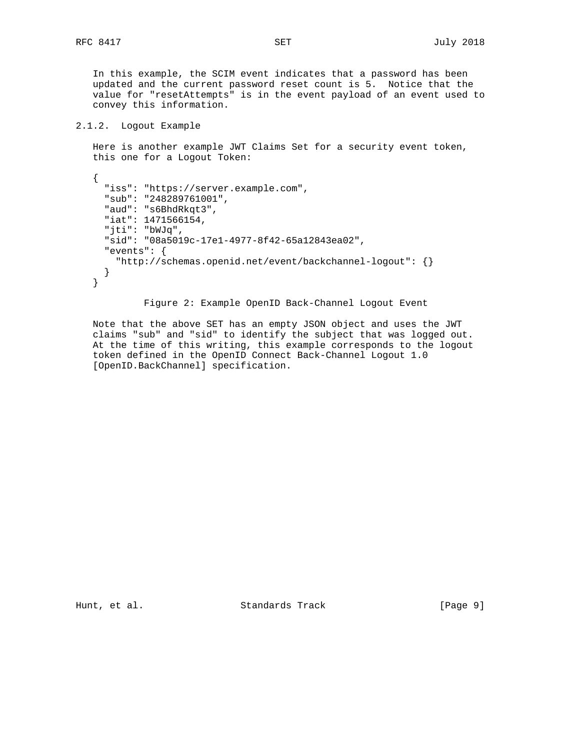In this example, the SCIM event indicates that a password has been updated and the current password reset count is 5. Notice that the value for "resetAttempts" is in the event payload of an event used to convey this information.

### 2.1.2. Logout Example

 Here is another example JWT Claims Set for a security event token, this one for a Logout Token:

```
 {
  "iss": "https://server.example.com",
  "sub": "248289761001",
  "aud": "s6BhdRkqt3",
  "iat": 1471566154,
  "jti": "bWJq",
  "sid": "08a5019c-17e1-4977-8f42-65a12843ea02",
  "events": {
   "http://schemas.openid.net/event/backchannel-logout": {}
  }
}
```
Figure 2: Example OpenID Back-Channel Logout Event

 Note that the above SET has an empty JSON object and uses the JWT claims "sub" and "sid" to identify the subject that was logged out. At the time of this writing, this example corresponds to the logout token defined in the OpenID Connect Back-Channel Logout 1.0 [OpenID.BackChannel] specification.

Hunt, et al. Standards Track [Page 9]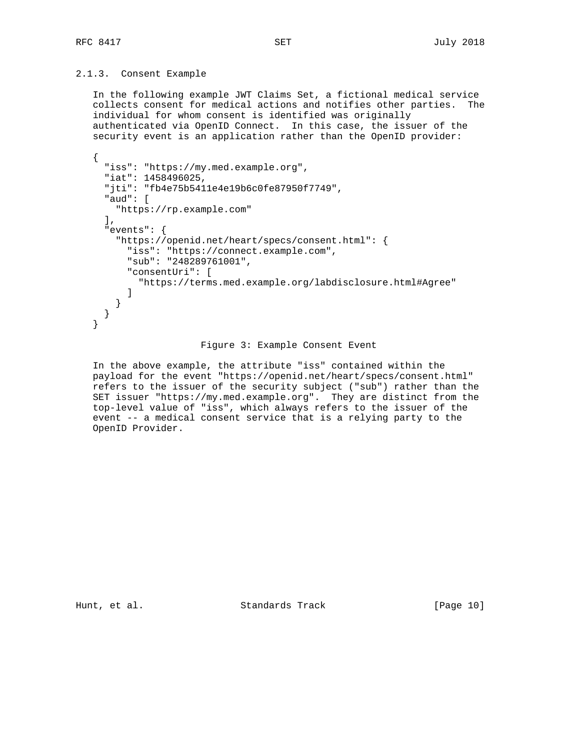# 2.1.3. Consent Example

 In the following example JWT Claims Set, a fictional medical service collects consent for medical actions and notifies other parties. The individual for whom consent is identified was originally authenticated via OpenID Connect. In this case, the issuer of the security event is an application rather than the OpenID provider:

```
 {
  "iss": "https://my.med.example.org",
  "iat": 1458496025,
  "jti": "fb4e75b5411e4e19b6c0fe87950f7749",
  "aud": [
   "https://rp.example.com"
 \mathbf{I},
  "events": {
    "https://openid.net/heart/specs/consent.html": {
      "iss": "https://connect.example.com",
      "sub": "248289761001",
      "consentUri": [
        "https://terms.med.example.org/labdisclosure.html#Agree"
      ]
    }
  }
}
```
#### Figure 3: Example Consent Event

 In the above example, the attribute "iss" contained within the payload for the event "https://openid.net/heart/specs/consent.html" refers to the issuer of the security subject ("sub") rather than the SET issuer "https://my.med.example.org". They are distinct from the top-level value of "iss", which always refers to the issuer of the event -- a medical consent service that is a relying party to the OpenID Provider.

Hunt, et al. Standards Track [Page 10]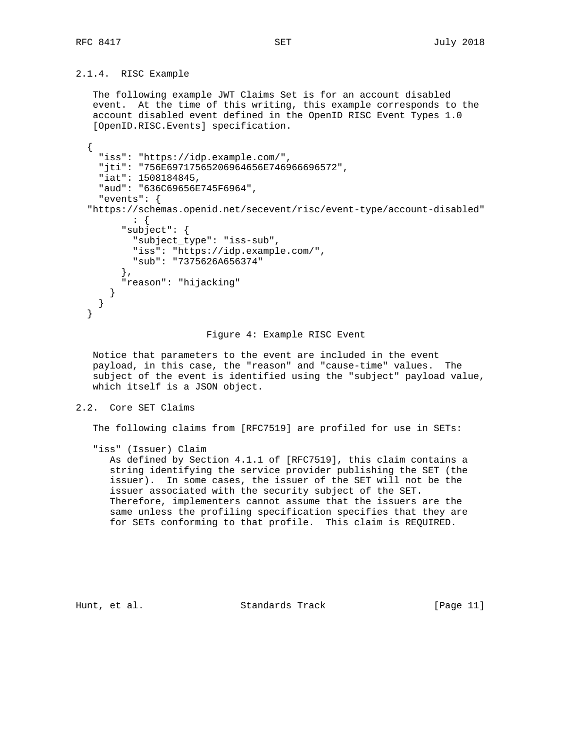# 2.1.4. RISC Example

 The following example JWT Claims Set is for an account disabled event. At the time of this writing, this example corresponds to the account disabled event defined in the OpenID RISC Event Types 1.0 [OpenID.RISC.Events] specification.

```
 {
  "iss": "https://idp.example.com/",
  "jti": "756E69717565206964656E746966696572",
  "iat": 1508184845,
  "aud": "636C69656E745F6964",
  "events": {
"https://schemas.openid.net/secevent/risc/event-type/account-disabled"
        : {
      "subject": {
        "subject_type": "iss-sub",
        "iss": "https://idp.example.com/",
        "sub": "7375626A656374"
      },
      "reason": "hijacking"
    }
 }
}
```
#### Figure 4: Example RISC Event

 Notice that parameters to the event are included in the event payload, in this case, the "reason" and "cause-time" values. The subject of the event is identified using the "subject" payload value, which itself is a JSON object.

# 2.2. Core SET Claims

The following claims from [RFC7519] are profiled for use in SETs:

"iss" (Issuer) Claim

 As defined by Section 4.1.1 of [RFC7519], this claim contains a string identifying the service provider publishing the SET (the issuer). In some cases, the issuer of the SET will not be the issuer associated with the security subject of the SET. Therefore, implementers cannot assume that the issuers are the same unless the profiling specification specifies that they are for SETs conforming to that profile. This claim is REQUIRED.

Hunt, et al. Standards Track [Page 11]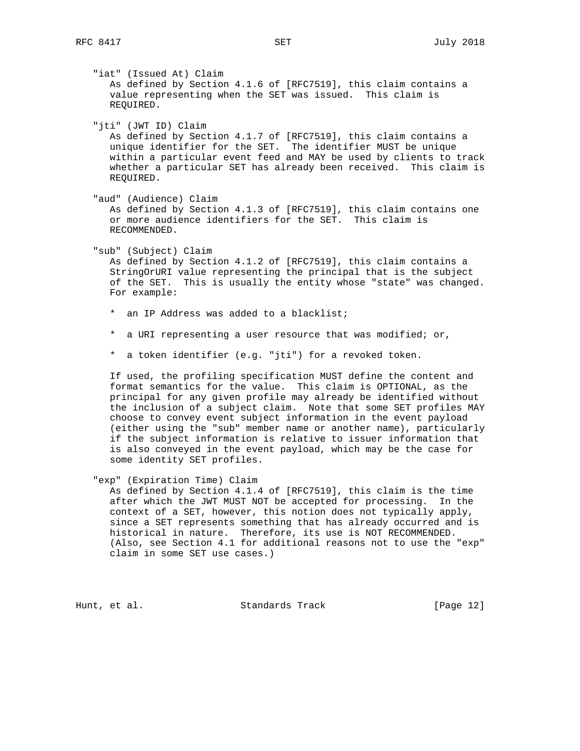"iat" (Issued At) Claim As defined by Section 4.1.6 of [RFC7519], this claim contains a value representing when the SET was issued. This claim is REQUIRED. "jti" (JWT ID) Claim As defined by Section 4.1.7 of [RFC7519], this claim contains a unique identifier for the SET. The identifier MUST be unique within a particular event feed and MAY be used by clients to track whether a particular SET has already been received. This claim is REQUIRED. "aud" (Audience) Claim As defined by Section 4.1.3 of [RFC7519], this claim contains one or more audience identifiers for the SET. This claim is RECOMMENDED. "sub" (Subject) Claim As defined by Section 4.1.2 of [RFC7519], this claim contains a StringOrURI value representing the principal that is the subject of the SET. This is usually the entity whose "state" was changed. For example: \* an IP Address was added to a blacklist; \* a URI representing a user resource that was modified; or, \* a token identifier (e.g. "jti") for a revoked token. If used, the profiling specification MUST define the content and format semantics for the value. This claim is OPTIONAL, as the principal for any given profile may already be identified without the inclusion of a subject claim. Note that some SET profiles MAY choose to convey event subject information in the event payload (either using the "sub" member name or another name), particularly if the subject information is relative to issuer information that is also conveyed in the event payload, which may be the case for some identity SET profiles. "exp" (Expiration Time) Claim As defined by Section 4.1.4 of [RFC7519], this claim is the time after which the JWT MUST NOT be accepted for processing. In the context of a SET, however, this notion does not typically apply, since a SET represents something that has already occurred and is historical in nature. Therefore, its use is NOT RECOMMENDED. (Also, see Section 4.1 for additional reasons not to use the "exp"

claim in some SET use cases.)

Hunt, et al. Standards Track [Page 12]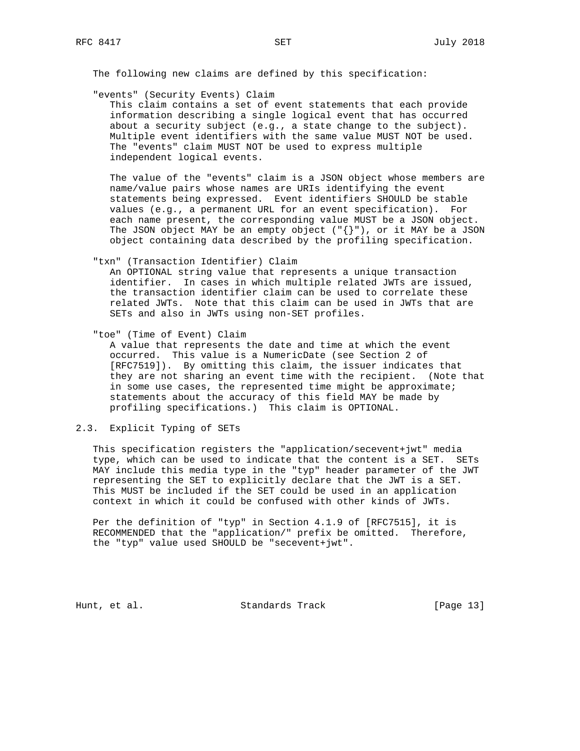The following new claims are defined by this specification:

"events" (Security Events) Claim

 This claim contains a set of event statements that each provide information describing a single logical event that has occurred about a security subject (e.g., a state change to the subject). Multiple event identifiers with the same value MUST NOT be used. The "events" claim MUST NOT be used to express multiple independent logical events.

 The value of the "events" claim is a JSON object whose members are name/value pairs whose names are URIs identifying the event statements being expressed. Event identifiers SHOULD be stable values (e.g., a permanent URL for an event specification). For each name present, the corresponding value MUST be a JSON object. The JSON object MAY be an empty object  $(\ulcorner {\}\urcorner\urcorner)$ , or it MAY be a JSON object containing data described by the profiling specification.

"txn" (Transaction Identifier) Claim

 An OPTIONAL string value that represents a unique transaction identifier. In cases in which multiple related JWTs are issued, the transaction identifier claim can be used to correlate these related JWTs. Note that this claim can be used in JWTs that are SETs and also in JWTs using non-SET profiles.

"toe" (Time of Event) Claim

 A value that represents the date and time at which the event occurred. This value is a NumericDate (see Section 2 of [RFC7519]). By omitting this claim, the issuer indicates that they are not sharing an event time with the recipient. (Note that in some use cases, the represented time might be approximate; statements about the accuracy of this field MAY be made by profiling specifications.) This claim is OPTIONAL.

# 2.3. Explicit Typing of SETs

 This specification registers the "application/secevent+jwt" media type, which can be used to indicate that the content is a SET. SETs MAY include this media type in the "typ" header parameter of the JWT representing the SET to explicitly declare that the JWT is a SET. This MUST be included if the SET could be used in an application context in which it could be confused with other kinds of JWTs.

 Per the definition of "typ" in Section 4.1.9 of [RFC7515], it is RECOMMENDED that the "application/" prefix be omitted. Therefore, the "typ" value used SHOULD be "secevent+jwt".

Hunt, et al. Standards Track [Page 13]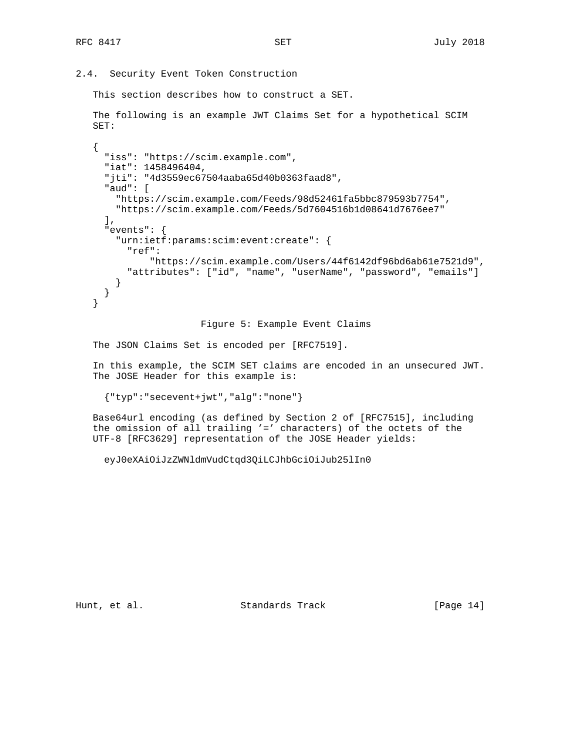2.4. Security Event Token Construction

This section describes how to construct a SET.

 The following is an example JWT Claims Set for a hypothetical SCIM SET:

```
 {
  "iss": "https://scim.example.com",
  "iat": 1458496404,
  "jti": "4d3559ec67504aaba65d40b0363faad8",
  "aud": [
    "https://scim.example.com/Feeds/98d52461fa5bbc879593b7754",
    "https://scim.example.com/Feeds/5d7604516b1d08641d7676ee7"
 \mathbf{I},
  "events": {
    "urn:ietf:params:scim:event:create": {
      "ref":
          "https://scim.example.com/Users/44f6142df96bd6ab61e7521d9",
      "attributes": ["id", "name", "userName", "password", "emails"]
    }
  }
}
```
Figure 5: Example Event Claims

The JSON Claims Set is encoded per [RFC7519].

 In this example, the SCIM SET claims are encoded in an unsecured JWT. The JOSE Header for this example is:

{"typ":"secevent+jwt","alg":"none"}

 Base64url encoding (as defined by Section 2 of [RFC7515], including the omission of all trailing '=' characters) of the octets of the UTF-8 [RFC3629] representation of the JOSE Header yields:

eyJ0eXAiOiJzZWNldmVudCtqd3QiLCJhbGciOiJub25lIn0

Hunt, et al. Standards Track [Page 14]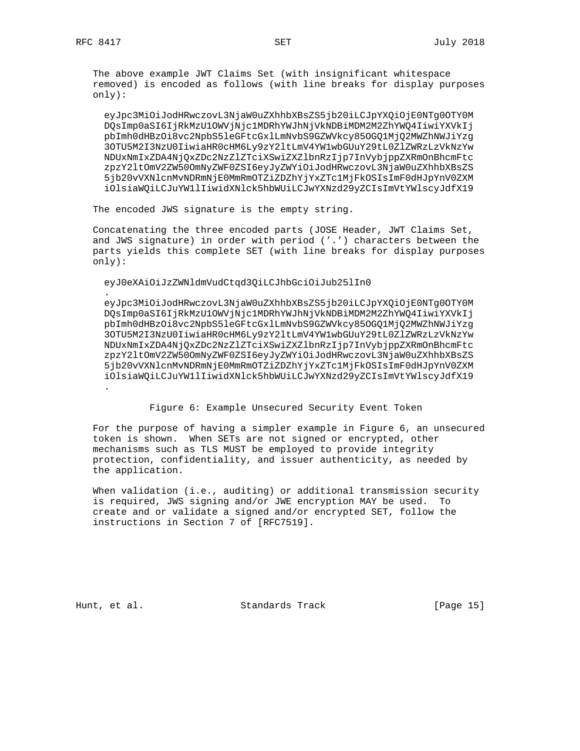.

 The above example JWT Claims Set (with insignificant whitespace removed) is encoded as follows (with line breaks for display purposes only):

 eyJpc3MiOiJodHRwczovL3NjaW0uZXhhbXBsZS5jb20iLCJpYXQiOjE0NTg0OTY0M DQsImp0aSI6IjRkMzU1OWVjNjc1MDRhYWJhNjVkNDBiMDM2M2ZhYWQ4IiwiYXVkIj pbImh0dHBzOi8vc2NpbS5leGFtcGxlLmNvbS9GZWVkcy85OGQ1MjQ2MWZhNWJiYzg 3OTU5M2I3NzU0IiwiaHR0cHM6Ly9zY2ltLmV4YW1wbGUuY29tL0ZlZWRzLzVkNzYw NDUxNmIxZDA4NjQxZDc2NzZlZTciXSwiZXZlbnRzIjp7InVybjppZXRmOnBhcmFtc zpzY2ltOmV2ZW50OmNyZWF0ZSI6eyJyZWYiOiJodHRwczovL3NjaW0uZXhhbXBsZS 5jb20vVXNlcnMvNDRmNjE0MmRmOTZiZDZhYjYxZTc1MjFkOSIsImF0dHJpYnV0ZXM iOlsiaWQiLCJuYW1lIiwidXNlck5hbWUiLCJwYXNzd29yZCIsImVtYWlscyJdfX19

The encoded JWS signature is the empty string.

 Concatenating the three encoded parts (JOSE Header, JWT Claims Set, and JWS signature) in order with period ('.') characters between the parts yields this complete SET (with line breaks for display purposes only):

eyJ0eXAiOiJzZWNldmVudCtqd3QiLCJhbGciOiJub25lIn0

 eyJpc3MiOiJodHRwczovL3NjaW0uZXhhbXBsZS5jb20iLCJpYXQiOjE0NTg0OTY0M DQsImp0aSI6IjRkMzU1OWVjNjc1MDRhYWJhNjVkNDBiMDM2M2ZhYWQ4IiwiYXVkIj pbImh0dHBzOi8vc2NpbS5leGFtcGxlLmNvbS9GZWVkcy85OGQ1MjQ2MWZhNWJiYzg 3OTU5M2I3NzU0IiwiaHR0cHM6Ly9zY2ltLmV4YW1wbGUuY29tL0ZlZWRzLzVkNzYw NDUxNmIxZDA4NjQxZDc2NzZlZTciXSwiZXZlbnRzIjp7InVybjppZXRmOnBhcmFtc zpzY2ltOmV2ZW50OmNyZWF0ZSI6eyJyZWYiOiJodHRwczovL3NjaW0uZXhhbXBsZS 5jb20vVXNlcnMvNDRmNjE0MmRmOTZiZDZhYjYxZTc1MjFkOSIsImF0dHJpYnV0ZXM iOlsiaWQiLCJuYW1lIiwidXNlck5hbWUiLCJwYXNzd29yZCIsImVtYWlscyJdfX19 .

Figure 6: Example Unsecured Security Event Token

 For the purpose of having a simpler example in Figure 6, an unsecured token is shown. When SETs are not signed or encrypted, other mechanisms such as TLS MUST be employed to provide integrity protection, confidentiality, and issuer authenticity, as needed by the application.

 When validation (i.e., auditing) or additional transmission security is required, JWS signing and/or JWE encryption MAY be used. To create and or validate a signed and/or encrypted SET, follow the instructions in Section 7 of [RFC7519].

Hunt, et al. Standards Track [Page 15]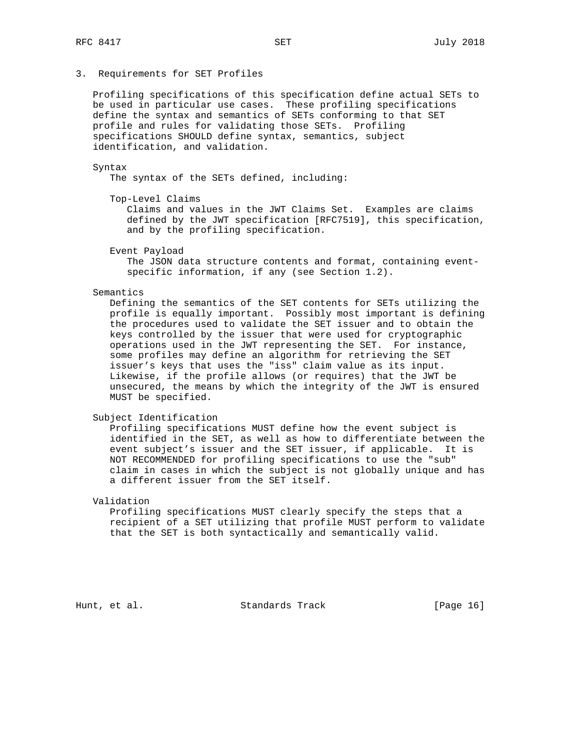# 3. Requirements for SET Profiles

 Profiling specifications of this specification define actual SETs to be used in particular use cases. These profiling specifications define the syntax and semantics of SETs conforming to that SET profile and rules for validating those SETs. Profiling specifications SHOULD define syntax, semantics, subject identification, and validation.

### Syntax

The syntax of the SETs defined, including:

Top-Level Claims

 Claims and values in the JWT Claims Set. Examples are claims defined by the JWT specification [RFC7519], this specification, and by the profiling specification.

Event Payload

 The JSON data structure contents and format, containing event specific information, if any (see Section 1.2).

#### Semantics

 Defining the semantics of the SET contents for SETs utilizing the profile is equally important. Possibly most important is defining the procedures used to validate the SET issuer and to obtain the keys controlled by the issuer that were used for cryptographic operations used in the JWT representing the SET. For instance, some profiles may define an algorithm for retrieving the SET issuer's keys that uses the "iss" claim value as its input. Likewise, if the profile allows (or requires) that the JWT be unsecured, the means by which the integrity of the JWT is ensured MUST be specified.

### Subject Identification

 Profiling specifications MUST define how the event subject is identified in the SET, as well as how to differentiate between the event subject's issuer and the SET issuer, if applicable. It is NOT RECOMMENDED for profiling specifications to use the "sub" claim in cases in which the subject is not globally unique and has a different issuer from the SET itself.

# Validation

 Profiling specifications MUST clearly specify the steps that a recipient of a SET utilizing that profile MUST perform to validate that the SET is both syntactically and semantically valid.

Hunt, et al. Standards Track [Page 16]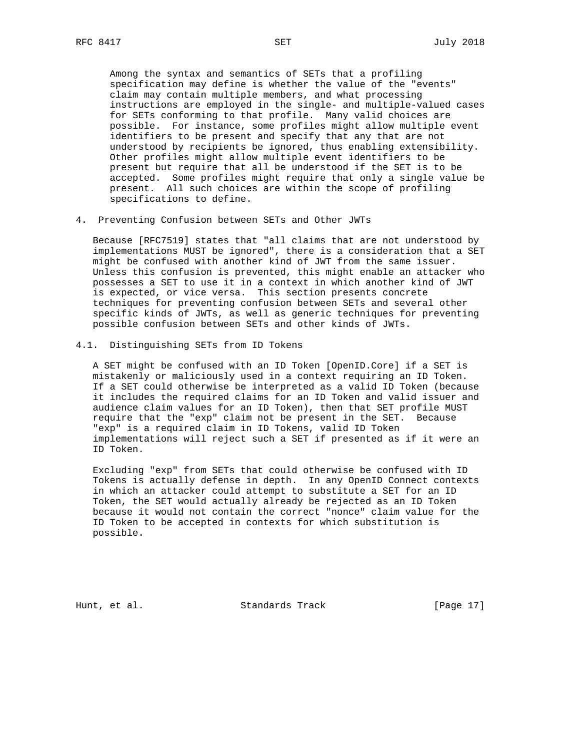Among the syntax and semantics of SETs that a profiling specification may define is whether the value of the "events" claim may contain multiple members, and what processing instructions are employed in the single- and multiple-valued cases for SETs conforming to that profile. Many valid choices are possible. For instance, some profiles might allow multiple event identifiers to be present and specify that any that are not understood by recipients be ignored, thus enabling extensibility. Other profiles might allow multiple event identifiers to be present but require that all be understood if the SET is to be accepted. Some profiles might require that only a single value be present. All such choices are within the scope of profiling specifications to define.

4. Preventing Confusion between SETs and Other JWTs

 Because [RFC7519] states that "all claims that are not understood by implementations MUST be ignored", there is a consideration that a SET might be confused with another kind of JWT from the same issuer. Unless this confusion is prevented, this might enable an attacker who possesses a SET to use it in a context in which another kind of JWT is expected, or vice versa. This section presents concrete techniques for preventing confusion between SETs and several other specific kinds of JWTs, as well as generic techniques for preventing possible confusion between SETs and other kinds of JWTs.

4.1. Distinguishing SETs from ID Tokens

 A SET might be confused with an ID Token [OpenID.Core] if a SET is mistakenly or maliciously used in a context requiring an ID Token. If a SET could otherwise be interpreted as a valid ID Token (because it includes the required claims for an ID Token and valid issuer and audience claim values for an ID Token), then that SET profile MUST require that the "exp" claim not be present in the SET. Because "exp" is a required claim in ID Tokens, valid ID Token implementations will reject such a SET if presented as if it were an ID Token.

 Excluding "exp" from SETs that could otherwise be confused with ID Tokens is actually defense in depth. In any OpenID Connect contexts in which an attacker could attempt to substitute a SET for an ID Token, the SET would actually already be rejected as an ID Token because it would not contain the correct "nonce" claim value for the ID Token to be accepted in contexts for which substitution is possible.

Hunt, et al. Standards Track [Page 17]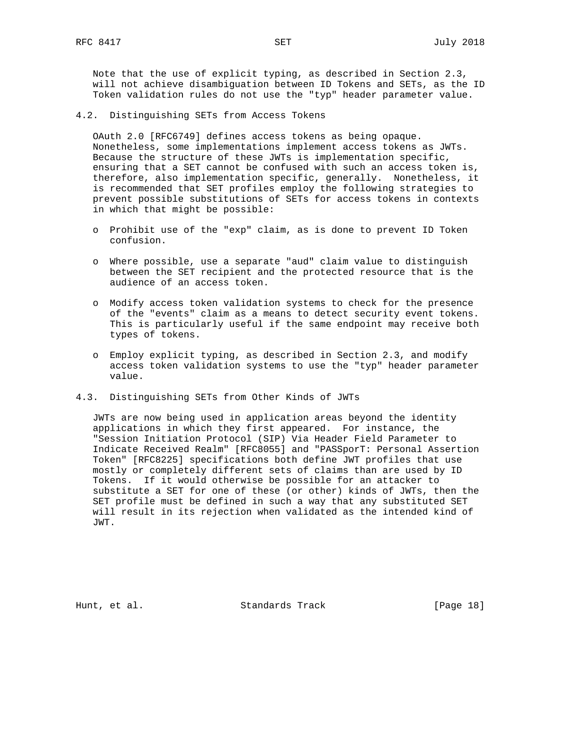Note that the use of explicit typing, as described in Section 2.3, will not achieve disambiguation between ID Tokens and SETs, as the ID Token validation rules do not use the "typ" header parameter value.

4.2. Distinguishing SETs from Access Tokens

 OAuth 2.0 [RFC6749] defines access tokens as being opaque. Nonetheless, some implementations implement access tokens as JWTs. Because the structure of these JWTs is implementation specific, ensuring that a SET cannot be confused with such an access token is, therefore, also implementation specific, generally. Nonetheless, it is recommended that SET profiles employ the following strategies to prevent possible substitutions of SETs for access tokens in contexts in which that might be possible:

- o Prohibit use of the "exp" claim, as is done to prevent ID Token confusion.
- o Where possible, use a separate "aud" claim value to distinguish between the SET recipient and the protected resource that is the audience of an access token.
- o Modify access token validation systems to check for the presence of the "events" claim as a means to detect security event tokens. This is particularly useful if the same endpoint may receive both types of tokens.
- o Employ explicit typing, as described in Section 2.3, and modify access token validation systems to use the "typ" header parameter value.
- 4.3. Distinguishing SETs from Other Kinds of JWTs

 JWTs are now being used in application areas beyond the identity applications in which they first appeared. For instance, the "Session Initiation Protocol (SIP) Via Header Field Parameter to Indicate Received Realm" [RFC8055] and "PASSporT: Personal Assertion Token" [RFC8225] specifications both define JWT profiles that use mostly or completely different sets of claims than are used by ID Tokens. If it would otherwise be possible for an attacker to substitute a SET for one of these (or other) kinds of JWTs, then the SET profile must be defined in such a way that any substituted SET will result in its rejection when validated as the intended kind of JWT.

Hunt, et al. Standards Track [Page 18]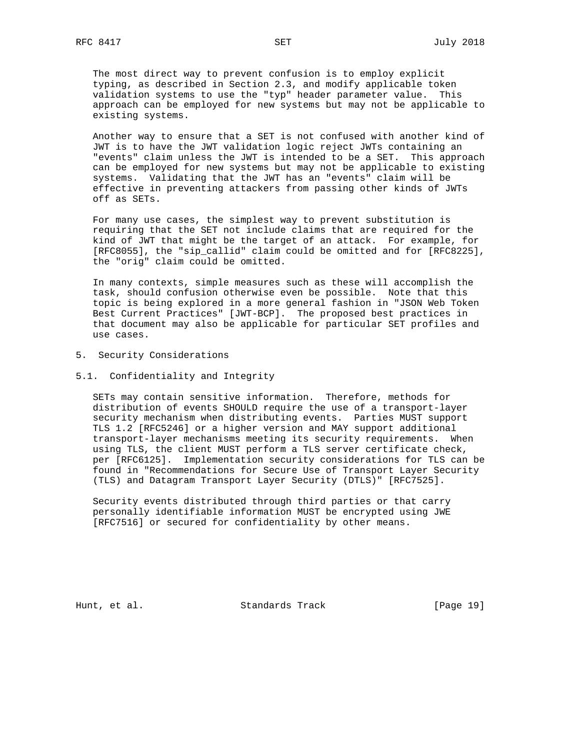The most direct way to prevent confusion is to employ explicit typing, as described in Section 2.3, and modify applicable token validation systems to use the "typ" header parameter value. This approach can be employed for new systems but may not be applicable to existing systems.

 Another way to ensure that a SET is not confused with another kind of JWT is to have the JWT validation logic reject JWTs containing an "events" claim unless the JWT is intended to be a SET. This approach can be employed for new systems but may not be applicable to existing systems. Validating that the JWT has an "events" claim will be effective in preventing attackers from passing other kinds of JWTs off as SETs.

 For many use cases, the simplest way to prevent substitution is requiring that the SET not include claims that are required for the kind of JWT that might be the target of an attack. For example, for [RFC8055], the "sip\_callid" claim could be omitted and for [RFC8225], the "orig" claim could be omitted.

 In many contexts, simple measures such as these will accomplish the task, should confusion otherwise even be possible. Note that this topic is being explored in a more general fashion in "JSON Web Token Best Current Practices" [JWT-BCP]. The proposed best practices in that document may also be applicable for particular SET profiles and use cases.

- 5. Security Considerations
- 5.1. Confidentiality and Integrity

 SETs may contain sensitive information. Therefore, methods for distribution of events SHOULD require the use of a transport-layer security mechanism when distributing events. Parties MUST support TLS 1.2 [RFC5246] or a higher version and MAY support additional transport-layer mechanisms meeting its security requirements. When using TLS, the client MUST perform a TLS server certificate check, per [RFC6125]. Implementation security considerations for TLS can be found in "Recommendations for Secure Use of Transport Layer Security (TLS) and Datagram Transport Layer Security (DTLS)" [RFC7525].

 Security events distributed through third parties or that carry personally identifiable information MUST be encrypted using JWE [RFC7516] or secured for confidentiality by other means.

Hunt, et al. Standards Track [Page 19]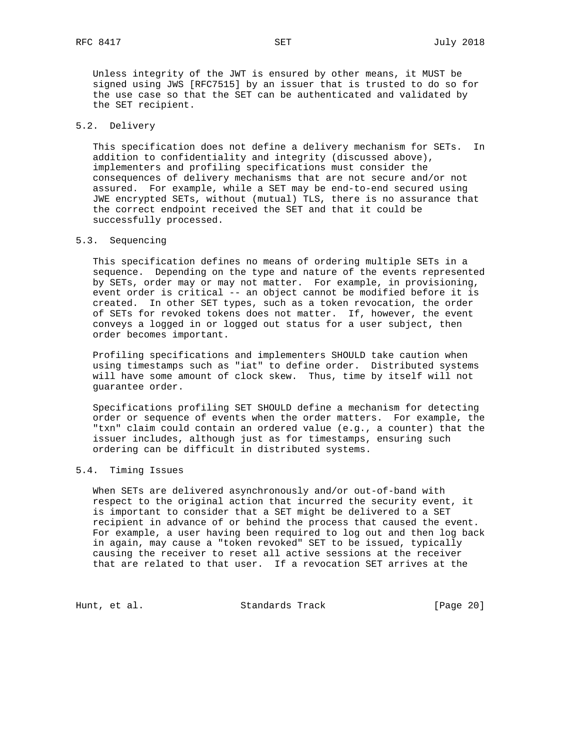Unless integrity of the JWT is ensured by other means, it MUST be signed using JWS [RFC7515] by an issuer that is trusted to do so for the use case so that the SET can be authenticated and validated by the SET recipient.

# 5.2. Delivery

 This specification does not define a delivery mechanism for SETs. In addition to confidentiality and integrity (discussed above), implementers and profiling specifications must consider the consequences of delivery mechanisms that are not secure and/or not assured. For example, while a SET may be end-to-end secured using JWE encrypted SETs, without (mutual) TLS, there is no assurance that the correct endpoint received the SET and that it could be successfully processed.

# 5.3. Sequencing

 This specification defines no means of ordering multiple SETs in a sequence. Depending on the type and nature of the events represented by SETs, order may or may not matter. For example, in provisioning, event order is critical -- an object cannot be modified before it is created. In other SET types, such as a token revocation, the order of SETs for revoked tokens does not matter. If, however, the event conveys a logged in or logged out status for a user subject, then order becomes important.

 Profiling specifications and implementers SHOULD take caution when using timestamps such as "iat" to define order. Distributed systems will have some amount of clock skew. Thus, time by itself will not guarantee order.

 Specifications profiling SET SHOULD define a mechanism for detecting order or sequence of events when the order matters. For example, the "txn" claim could contain an ordered value (e.g., a counter) that the issuer includes, although just as for timestamps, ensuring such ordering can be difficult in distributed systems.

# 5.4. Timing Issues

 When SETs are delivered asynchronously and/or out-of-band with respect to the original action that incurred the security event, it is important to consider that a SET might be delivered to a SET recipient in advance of or behind the process that caused the event. For example, a user having been required to log out and then log back in again, may cause a "token revoked" SET to be issued, typically causing the receiver to reset all active sessions at the receiver that are related to that user. If a revocation SET arrives at the

Hunt, et al. Standards Track [Page 20]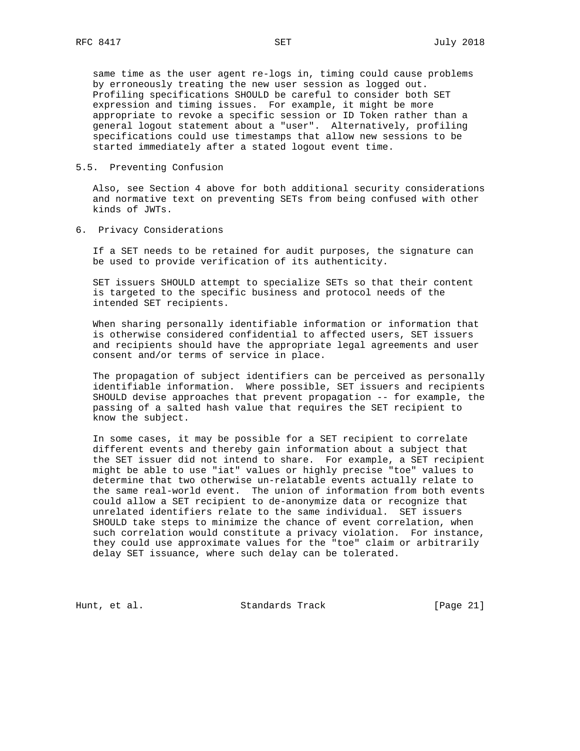same time as the user agent re-logs in, timing could cause problems by erroneously treating the new user session as logged out. Profiling specifications SHOULD be careful to consider both SET expression and timing issues. For example, it might be more appropriate to revoke a specific session or ID Token rather than a general logout statement about a "user". Alternatively, profiling specifications could use timestamps that allow new sessions to be started immediately after a stated logout event time.

# 5.5. Preventing Confusion

 Also, see Section 4 above for both additional security considerations and normative text on preventing SETs from being confused with other kinds of JWTs.

6. Privacy Considerations

 If a SET needs to be retained for audit purposes, the signature can be used to provide verification of its authenticity.

 SET issuers SHOULD attempt to specialize SETs so that their content is targeted to the specific business and protocol needs of the intended SET recipients.

 When sharing personally identifiable information or information that is otherwise considered confidential to affected users, SET issuers and recipients should have the appropriate legal agreements and user consent and/or terms of service in place.

 The propagation of subject identifiers can be perceived as personally identifiable information. Where possible, SET issuers and recipients SHOULD devise approaches that prevent propagation -- for example, the passing of a salted hash value that requires the SET recipient to know the subject.

 In some cases, it may be possible for a SET recipient to correlate different events and thereby gain information about a subject that the SET issuer did not intend to share. For example, a SET recipient might be able to use "iat" values or highly precise "toe" values to determine that two otherwise un-relatable events actually relate to the same real-world event. The union of information from both events could allow a SET recipient to de-anonymize data or recognize that unrelated identifiers relate to the same individual. SET issuers SHOULD take steps to minimize the chance of event correlation, when such correlation would constitute a privacy violation. For instance, they could use approximate values for the "toe" claim or arbitrarily delay SET issuance, where such delay can be tolerated.

Hunt, et al. Standards Track [Page 21]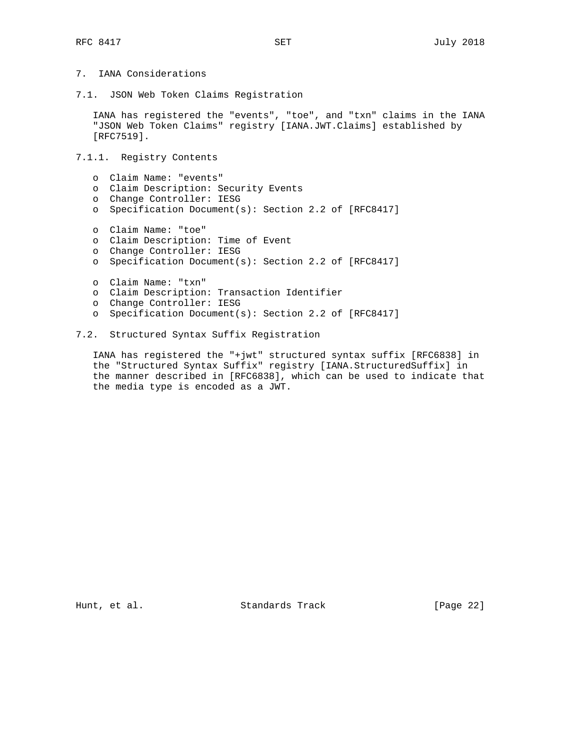- 7. IANA Considerations
- 7.1. JSON Web Token Claims Registration

 IANA has registered the "events", "toe", and "txn" claims in the IANA "JSON Web Token Claims" registry [IANA.JWT.Claims] established by [RFC7519].

7.1.1. Registry Contents

- o Claim Name: "events"
- o Claim Description: Security Events
- o Change Controller: IESG
- o Specification Document(s): Section 2.2 of [RFC8417]
- o Claim Name: "toe"
- o Claim Description: Time of Event
- o Change Controller: IESG
- o Specification Document(s): Section 2.2 of [RFC8417]
- o Claim Name: "txn"
- o Claim Description: Transaction Identifier
- o Change Controller: IESG
- o Specification Document(s): Section 2.2 of [RFC8417]
- 7.2. Structured Syntax Suffix Registration

 IANA has registered the "+jwt" structured syntax suffix [RFC6838] in the "Structured Syntax Suffix" registry [IANA.StructuredSuffix] in the manner described in [RFC6838], which can be used to indicate that the media type is encoded as a JWT.

Hunt, et al. Standards Track [Page 22]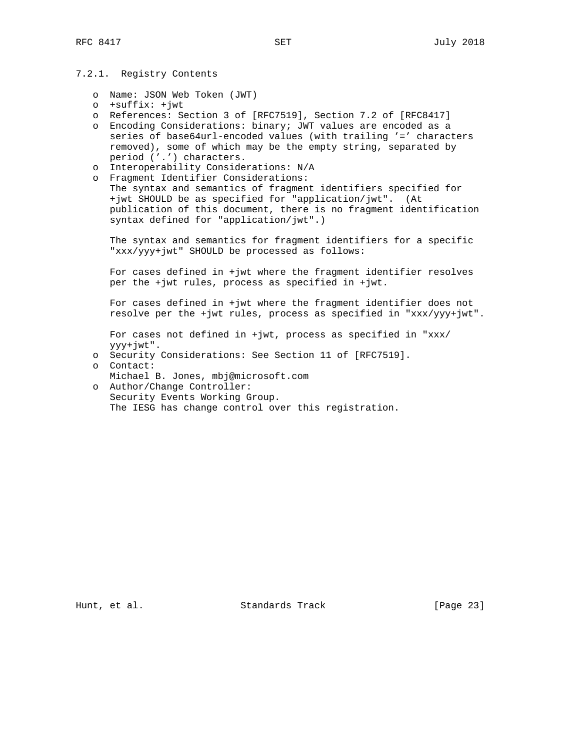# 7.2.1. Registry Contents

- o Name: JSON Web Token (JWT)
- o +suffix: +jwt
- o References: Section 3 of [RFC7519], Section 7.2 of [RFC8417]
- o Encoding Considerations: binary; JWT values are encoded as a series of base64url-encoded values (with trailing '=' characters removed), some of which may be the empty string, separated by period ('.') characters.
- o Interoperability Considerations: N/A
- o Fragment Identifier Considerations: The syntax and semantics of fragment identifiers specified for +jwt SHOULD be as specified for "application/jwt". (At publication of this document, there is no fragment identification syntax defined for "application/jwt".)

 The syntax and semantics for fragment identifiers for a specific "xxx/yyy+jwt" SHOULD be processed as follows:

 For cases defined in +jwt where the fragment identifier resolves per the +jwt rules, process as specified in +jwt.

 For cases defined in +jwt where the fragment identifier does not resolve per the +jwt rules, process as specified in "xxx/yyy+jwt".

 For cases not defined in +jwt, process as specified in "xxx/ yyy+jwt".

- o Security Considerations: See Section 11 of [RFC7519].
- o Contact:
- Michael B. Jones, mbj@microsoft.com
- o Author/Change Controller: Security Events Working Group. The IESG has change control over this registration.

Hunt, et al. Standards Track [Page 23]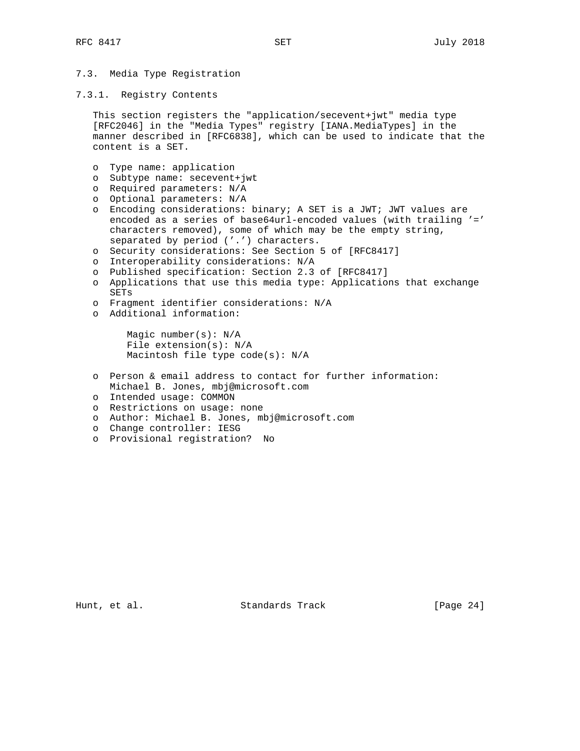# 7.3. Media Type Registration

7.3.1. Registry Contents

 This section registers the "application/secevent+jwt" media type [RFC2046] in the "Media Types" registry [IANA.MediaTypes] in the manner described in [RFC6838], which can be used to indicate that the content is a SET.

- o Type name: application
- o Subtype name: secevent+jwt
- o Required parameters: N/A
- o Optional parameters: N/A
- o Encoding considerations: binary; A SET is a JWT; JWT values are encoded as a series of base64url-encoded values (with trailing '=' characters removed), some of which may be the empty string, separated by period ('.') characters.
- o Security considerations: See Section 5 of [RFC8417]
- o Interoperability considerations: N/A
- o Published specification: Section 2.3 of [RFC8417]
- o Applications that use this media type: Applications that exchange SETs
- o Fragment identifier considerations: N/A
- o Additional information:

 Magic number(s): N/A File extension(s): N/A Macintosh file type code(s): N/A

- o Person & email address to contact for further information: Michael B. Jones, mbj@microsoft.com
- o Intended usage: COMMON
- o Restrictions on usage: none
- o Author: Michael B. Jones, mbj@microsoft.com
- o Change controller: IESG
- o Provisional registration? No

Hunt, et al. Standards Track [Page 24]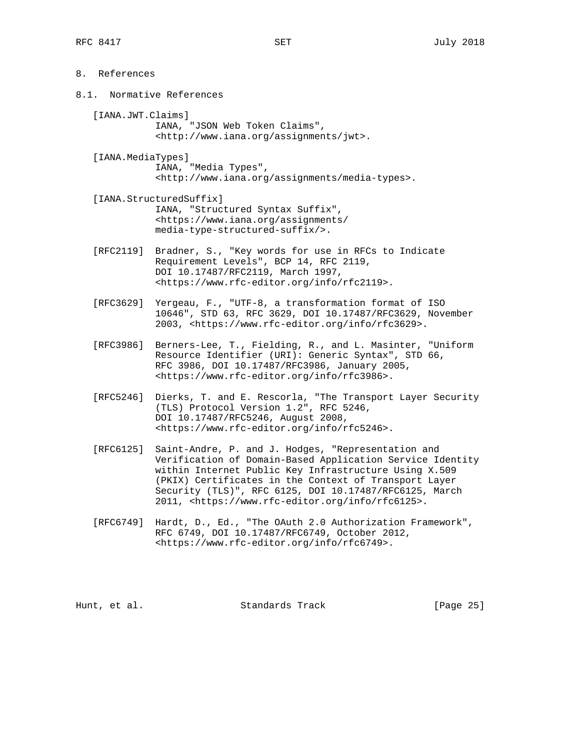8.1. Normative References

 [IANA.JWT.Claims] IANA, "JSON Web Token Claims", <http://www.iana.org/assignments/jwt>.

- [IANA.MediaTypes] IANA, "Media Types", <http://www.iana.org/assignments/media-types>.
- [IANA.StructuredSuffix] IANA, "Structured Syntax Suffix", <https://www.iana.org/assignments/ media-type-structured-suffix/>.
- [RFC2119] Bradner, S., "Key words for use in RFCs to Indicate Requirement Levels", BCP 14, RFC 2119, DOI 10.17487/RFC2119, March 1997, <https://www.rfc-editor.org/info/rfc2119>.
- [RFC3629] Yergeau, F., "UTF-8, a transformation format of ISO 10646", STD 63, RFC 3629, DOI 10.17487/RFC3629, November 2003, <https://www.rfc-editor.org/info/rfc3629>.
- [RFC3986] Berners-Lee, T., Fielding, R., and L. Masinter, "Uniform Resource Identifier (URI): Generic Syntax", STD 66, RFC 3986, DOI 10.17487/RFC3986, January 2005, <https://www.rfc-editor.org/info/rfc3986>.
- [RFC5246] Dierks, T. and E. Rescorla, "The Transport Layer Security (TLS) Protocol Version 1.2", RFC 5246, DOI 10.17487/RFC5246, August 2008, <https://www.rfc-editor.org/info/rfc5246>.
- [RFC6125] Saint-Andre, P. and J. Hodges, "Representation and Verification of Domain-Based Application Service Identity within Internet Public Key Infrastructure Using X.509 (PKIX) Certificates in the Context of Transport Layer Security (TLS)", RFC 6125, DOI 10.17487/RFC6125, March 2011, <https://www.rfc-editor.org/info/rfc6125>.
- [RFC6749] Hardt, D., Ed., "The OAuth 2.0 Authorization Framework", RFC 6749, DOI 10.17487/RFC6749, October 2012, <https://www.rfc-editor.org/info/rfc6749>.

Hunt, et al. Standards Track [Page 25]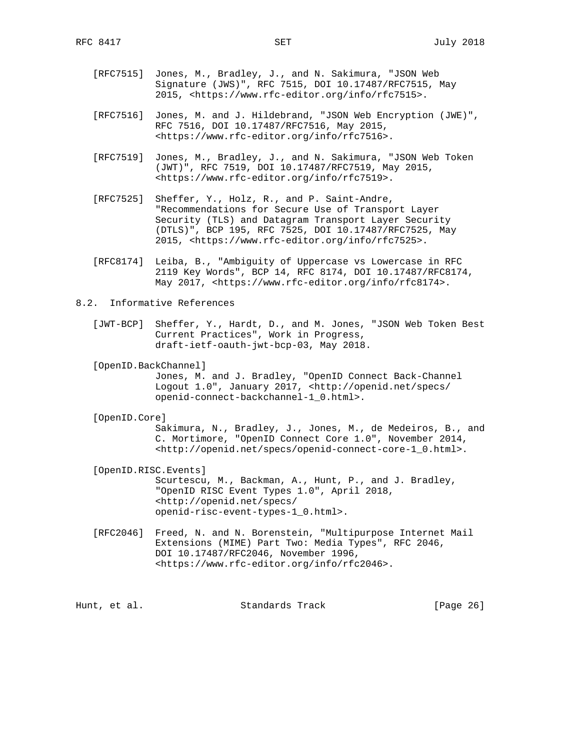- [RFC7515] Jones, M., Bradley, J., and N. Sakimura, "JSON Web Signature (JWS)", RFC 7515, DOI 10.17487/RFC7515, May 2015, <https://www.rfc-editor.org/info/rfc7515>.
- [RFC7516] Jones, M. and J. Hildebrand, "JSON Web Encryption (JWE)", RFC 7516, DOI 10.17487/RFC7516, May 2015, <https://www.rfc-editor.org/info/rfc7516>.
- [RFC7519] Jones, M., Bradley, J., and N. Sakimura, "JSON Web Token (JWT)", RFC 7519, DOI 10.17487/RFC7519, May 2015, <https://www.rfc-editor.org/info/rfc7519>.
- [RFC7525] Sheffer, Y., Holz, R., and P. Saint-Andre, "Recommendations for Secure Use of Transport Layer Security (TLS) and Datagram Transport Layer Security (DTLS)", BCP 195, RFC 7525, DOI 10.17487/RFC7525, May 2015, <https://www.rfc-editor.org/info/rfc7525>.
- [RFC8174] Leiba, B., "Ambiguity of Uppercase vs Lowercase in RFC 2119 Key Words", BCP 14, RFC 8174, DOI 10.17487/RFC8174, May 2017, <https://www.rfc-editor.org/info/rfc8174>.
- 8.2. Informative References
	- [JWT-BCP] Sheffer, Y., Hardt, D., and M. Jones, "JSON Web Token Best Current Practices", Work in Progress, draft-ietf-oauth-jwt-bcp-03, May 2018.

[OpenID.BackChannel]

 Jones, M. and J. Bradley, "OpenID Connect Back-Channel Logout 1.0", January 2017, <http://openid.net/specs/ openid-connect-backchannel-1\_0.html>.

[OpenID.Core]

 Sakimura, N., Bradley, J., Jones, M., de Medeiros, B., and C. Mortimore, "OpenID Connect Core 1.0", November 2014, <http://openid.net/specs/openid-connect-core-1\_0.html>.

[OpenID.RISC.Events]

 Scurtescu, M., Backman, A., Hunt, P., and J. Bradley, "OpenID RISC Event Types 1.0", April 2018, <http://openid.net/specs/ openid-risc-event-types-1\_0.html>.

 [RFC2046] Freed, N. and N. Borenstein, "Multipurpose Internet Mail Extensions (MIME) Part Two: Media Types", RFC 2046, DOI 10.17487/RFC2046, November 1996, <https://www.rfc-editor.org/info/rfc2046>.

Hunt, et al. Standards Track [Page 26]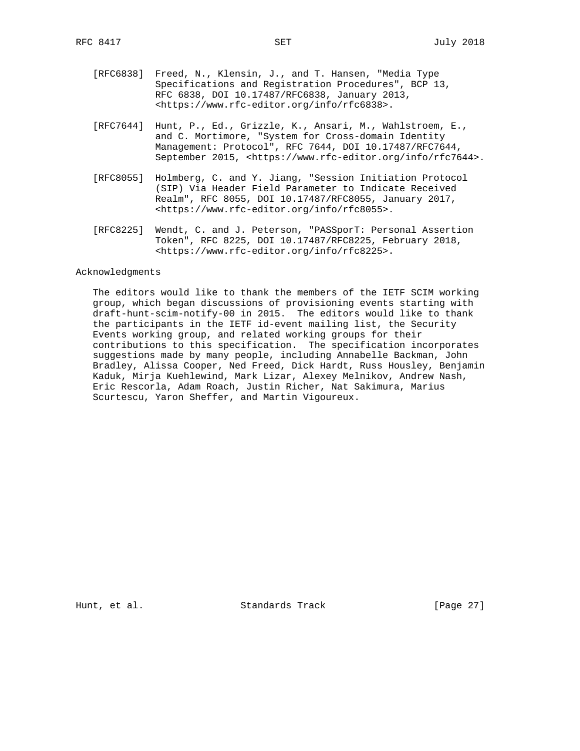- [RFC6838] Freed, N., Klensin, J., and T. Hansen, "Media Type Specifications and Registration Procedures", BCP 13, RFC 6838, DOI 10.17487/RFC6838, January 2013, <https://www.rfc-editor.org/info/rfc6838>.
- [RFC7644] Hunt, P., Ed., Grizzle, K., Ansari, M., Wahlstroem, E., and C. Mortimore, "System for Cross-domain Identity Management: Protocol", RFC 7644, DOI 10.17487/RFC7644, September 2015, <https://www.rfc-editor.org/info/rfc7644>.
- [RFC8055] Holmberg, C. and Y. Jiang, "Session Initiation Protocol (SIP) Via Header Field Parameter to Indicate Received Realm", RFC 8055, DOI 10.17487/RFC8055, January 2017, <https://www.rfc-editor.org/info/rfc8055>.
- [RFC8225] Wendt, C. and J. Peterson, "PASSporT: Personal Assertion Token", RFC 8225, DOI 10.17487/RFC8225, February 2018, <https://www.rfc-editor.org/info/rfc8225>.

### Acknowledgments

 The editors would like to thank the members of the IETF SCIM working group, which began discussions of provisioning events starting with draft-hunt-scim-notify-00 in 2015. The editors would like to thank the participants in the IETF id-event mailing list, the Security Events working group, and related working groups for their contributions to this specification. The specification incorporates suggestions made by many people, including Annabelle Backman, John Bradley, Alissa Cooper, Ned Freed, Dick Hardt, Russ Housley, Benjamin Kaduk, Mirja Kuehlewind, Mark Lizar, Alexey Melnikov, Andrew Nash, Eric Rescorla, Adam Roach, Justin Richer, Nat Sakimura, Marius Scurtescu, Yaron Sheffer, and Martin Vigoureux.

Hunt, et al. Standards Track [Page 27]